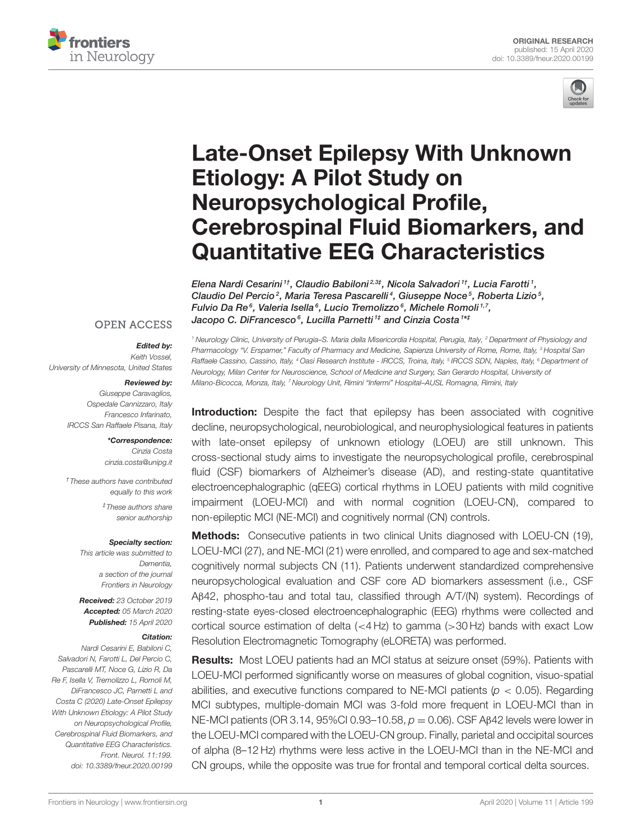



# Late-Onset Epilepsy With Unknown Etiology: A Pilot Study on Neuropsychological Profile, [Cerebrospinal Fluid Biomarkers, and](https://www.frontiersin.org/articles/10.3389/fneur.2020.00199/full) Quantitative EEG Characteristics

[Elena Nardi Cesarini](http://loop.frontiersin.org/people/945612/overview) <sup>1†</sup>, [Claudio Babiloni](http://loop.frontiersin.org/people/18148/overview)<sup>2,3‡</sup>, [Nicola Salvadori](http://loop.frontiersin.org/people/898745/overview) <sup>1†</sup>, [Lucia Farotti](http://loop.frontiersin.org/people/134951/overview) <sup>1</sup>, [Claudio Del Percio](http://loop.frontiersin.org/people/318556/overview)<sup>2</sup>, [Maria Teresa Pascarelli](http://loop.frontiersin.org/people/721950/overview)<sup>4</sup>, [Giuseppe Noce](http://loop.frontiersin.org/people/720612/overview)<sup>5</sup>, [Roberta Lizio](http://loop.frontiersin.org/people/282522/overview)<sup>5</sup>, Fulvio Da Re<sup>6</sup>, [Valeria Isella](http://loop.frontiersin.org/people/556475/overview)<sup>6</sup>, [Lucio Tremolizzo](http://loop.frontiersin.org/people/536161/overview)<sup>6</sup>, [Michele Romoli](http://loop.frontiersin.org/people/436994/overview)<sup>1,7</sup>, [Jacopo C. DiFrancesco](http://loop.frontiersin.org/people/180672/overview)<sup>6</sup>, [Lucilla Parnetti](http://loop.frontiersin.org/people/584089/overview) <sup>1‡</sup> and [Cinzia Costa](http://loop.frontiersin.org/people/194446/overview) <sup>1\*‡</sup>

#### **OPEN ACCESS**

#### Edited by:

*Keith Vossel, University of Minnesota, United States*

#### Reviewed by:

*Giuseppe Caravaglios, Ospedale Cannizzaro, Italy Francesco Infarinato, IRCCS San Raffaele Pisana, Italy*

> \*Correspondence: *Cinzia Costa [cinzia.costa@unipg.it](mailto:cinzia.costa@unipg.it)*

*†These authors have contributed equally to this work ‡These authors share senior authorship*

#### Specialty section:

*This article was submitted to Dementia, a section of the journal Frontiers in Neurology*

Received: *23 October 2019* Accepted: *05 March 2020* Published: *15 April 2020*

#### Citation:

*Nardi Cesarini E, Babiloni C, Salvadori N, Farotti L, Del Percio C, Pascarelli MT, Noce G, Lizio R, Da Re F, Isella V, Tremolizzo L, Romoli M, DiFrancesco JC, Parnetti L and Costa C (2020) Late-Onset Epilepsy With Unknown Etiology: A Pilot Study on Neuropsychological Profile, Cerebrospinal Fluid Biomarkers, and Quantitative EEG Characteristics. Front. Neurol. 11:199. doi: [10.3389/fneur.2020.00199](https://doi.org/10.3389/fneur.2020.00199)*

*<sup>1</sup> Neurology Clinic, University of Perugia–S. Maria della Misericordia Hospital, Perugia, Italy, <sup>2</sup> Department of Physiology and Pharmacology "V. Erspamer," Faculty of Pharmacy and Medicine, Sapienza University of Rome, Rome, Italy, <sup>3</sup> Hospital San Raffaele Cassino, Cassino, Italy, <sup>4</sup> Oasi Research Institute - IRCCS, Troina, Italy, <sup>5</sup> IRCCS SDN, Naples, Italy, <sup>6</sup> Department of Neurology, Milan Center for Neuroscience, School of Medicine and Surgery, San Gerardo Hospital, University of Milano-Bicocca, Monza, Italy, <sup>7</sup> Neurology Unit, Rimini "Infermi" Hospital–AUSL Romagna, Rimini, Italy*

**Introduction:** Despite the fact that epilepsy has been associated with cognitive decline, neuropsychological, neurobiological, and neurophysiological features in patients with late-onset epilepsy of unknown etiology (LOEU) are still unknown. This cross-sectional study aims to investigate the neuropsychological profile, cerebrospinal fluid (CSF) biomarkers of Alzheimer's disease (AD), and resting-state quantitative electroencephalographic (qEEG) cortical rhythms in LOEU patients with mild cognitive impairment (LOEU-MCI) and with normal cognition (LOEU-CN), compared to non-epileptic MCI (NE-MCI) and cognitively normal (CN) controls.

Methods: Consecutive patients in two clinical Units diagnosed with LOEU-CN (19), LOEU-MCI (27), and NE-MCI (21) were enrolled, and compared to age and sex-matched cognitively normal subjects CN (11). Patients underwent standardized comprehensive neuropsychological evaluation and CSF core AD biomarkers assessment (i.e., CSF Aβ42, phospho-tau and total tau, classified through A/T/(N) system). Recordings of resting-state eyes-closed electroencephalographic (EEG) rhythms were collected and cortical source estimation of delta (<4 Hz) to gamma (>30 Hz) bands with exact Low Resolution Electromagnetic Tomography (eLORETA) was performed.

Results: Most LOEU patients had an MCI status at seizure onset (59%). Patients with LOEU-MCI performed significantly worse on measures of global cognition, visuo-spatial abilities, and executive functions compared to NE-MCI patients (*p* < 0.05). Regarding MCI subtypes, multiple-domain MCI was 3-fold more frequent in LOEU-MCI than in NE-MCI patients (OR 3.14, 95%CI 0.93–10.58, *p* = 0.06). CSF Aβ42 levels were lower in the LOEU-MCI compared with the LOEU-CN group. Finally, parietal and occipital sources of alpha (8–12 Hz) rhythms were less active in the LOEU-MCI than in the NE-MCI and CN groups, while the opposite was true for frontal and temporal cortical delta sources.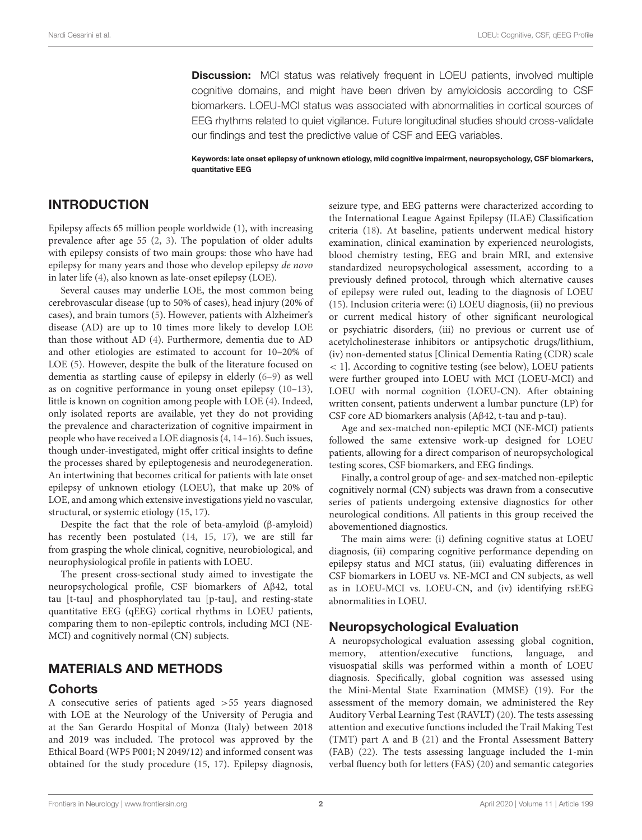**Discussion:** MCI status was relatively frequent in LOEU patients, involved multiple cognitive domains, and might have been driven by amyloidosis according to CSF biomarkers. LOEU-MCI status was associated with abnormalities in cortical sources of EEG rhythms related to quiet vigilance. Future longitudinal studies should cross-validate our findings and test the predictive value of CSF and EEG variables.

Keywords: late onset epilepsy of unknown etiology, mild cognitive impairment, neuropsychology, CSF biomarkers, quantitative EEG

# INTRODUCTION

Epilepsy affects 65 million people worldwide [\(1\)](#page-9-0), with increasing prevalence after age 55 [\(2,](#page-9-1) [3\)](#page-9-2). The population of older adults with epilepsy consists of two main groups: those who have had epilepsy for many years and those who develop epilepsy de novo in later life [\(4\)](#page-9-3), also known as late-onset epilepsy (LOE).

Several causes may underlie LOE, the most common being cerebrovascular disease (up to 50% of cases), head injury (20% of cases), and brain tumors [\(5\)](#page-9-4). However, patients with Alzheimer's disease (AD) are up to 10 times more likely to develop LOE than those without AD [\(4\)](#page-9-3). Furthermore, dementia due to AD and other etiologies are estimated to account for 10–20% of LOE [\(5\)](#page-9-4). However, despite the bulk of the literature focused on dementia as startling cause of epilepsy in elderly [\(6](#page-9-5)[–9\)](#page-9-6) as well as on cognitive performance in young onset epilepsy [\(10–](#page-9-7)[13\)](#page-9-8), little is known on cognition among people with LOE [\(4\)](#page-9-3). Indeed, only isolated reports are available, yet they do not providing the prevalence and characterization of cognitive impairment in people who have received a LOE diagnosis [\(4,](#page-9-3) [14–](#page-9-9)[16\)](#page-9-10). Such issues, though under-investigated, might offer critical insights to define the processes shared by epileptogenesis and neurodegeneration. An intertwining that becomes critical for patients with late onset epilepsy of unknown etiology (LOEU), that make up 20% of LOE, and among which extensive investigations yield no vascular, structural, or systemic etiology [\(15,](#page-9-11) [17\)](#page-9-12).

Despite the fact that the role of beta-amyloid (β-amyloid) has recently been postulated [\(14,](#page-9-9) [15,](#page-9-11) [17\)](#page-9-12), we are still far from grasping the whole clinical, cognitive, neurobiological, and neurophysiological profile in patients with LOEU.

The present cross-sectional study aimed to investigate the neuropsychological profile, CSF biomarkers of Aβ42, total tau [t-tau] and phosphorylated tau [p-tau], and resting-state quantitative EEG (qEEG) cortical rhythms in LOEU patients, comparing them to non-epileptic controls, including MCI (NE-MCI) and cognitively normal (CN) subjects.

# MATERIALS AND METHODS

### **Cohorts**

A consecutive series of patients aged >55 years diagnosed with LOE at the Neurology of the University of Perugia and at the San Gerardo Hospital of Monza (Italy) between 2018 and 2019 was included. The protocol was approved by the Ethical Board (WP5 P001; N 2049/12) and informed consent was obtained for the study procedure [\(15,](#page-9-11) [17\)](#page-9-12). Epilepsy diagnosis, seizure type, and EEG patterns were characterized according to the International League Against Epilepsy (ILAE) Classification criteria [\(18\)](#page-9-13). At baseline, patients underwent medical history examination, clinical examination by experienced neurologists, blood chemistry testing, EEG and brain MRI, and extensive standardized neuropsychological assessment, according to a previously defined protocol, through which alternative causes of epilepsy were ruled out, leading to the diagnosis of LOEU [\(15\)](#page-9-11). Inclusion criteria were: (i) LOEU diagnosis, (ii) no previous or current medical history of other significant neurological or psychiatric disorders, (iii) no previous or current use of acetylcholinesterase inhibitors or antipsychotic drugs/lithium, (iv) non-demented status [Clinical Dementia Rating (CDR) scale < 1]. According to cognitive testing (see below), LOEU patients were further grouped into LOEU with MCI (LOEU-MCI) and LOEU with normal cognition (LOEU-CN). After obtaining written consent, patients underwent a lumbar puncture (LP) for CSF core AD biomarkers analysis (Aβ42, t-tau and p-tau).

Age and sex-matched non-epileptic MCI (NE-MCI) patients followed the same extensive work-up designed for LOEU patients, allowing for a direct comparison of neuropsychological testing scores, CSF biomarkers, and EEG findings.

Finally, a control group of age- and sex-matched non-epileptic cognitively normal (CN) subjects was drawn from a consecutive series of patients undergoing extensive diagnostics for other neurological conditions. All patients in this group received the abovementioned diagnostics.

The main aims were: (i) defining cognitive status at LOEU diagnosis, (ii) comparing cognitive performance depending on epilepsy status and MCI status, (iii) evaluating differences in CSF biomarkers in LOEU vs. NE-MCI and CN subjects, as well as in LOEU-MCI vs. LOEU-CN, and (iv) identifying rsEEG abnormalities in LOEU.

# Neuropsychological Evaluation

A neuropsychological evaluation assessing global cognition, memory, attention/executive functions, language, and visuospatial skills was performed within a month of LOEU diagnosis. Specifically, global cognition was assessed using the Mini-Mental State Examination (MMSE) [\(19\)](#page-9-14). For the assessment of the memory domain, we administered the Rey Auditory Verbal Learning Test (RAVLT) [\(20\)](#page-9-15). The tests assessing attention and executive functions included the Trail Making Test (TMT) part A and B [\(21\)](#page-10-0) and the Frontal Assessment Battery (FAB) [\(22\)](#page-10-1). The tests assessing language included the 1-min verbal fluency both for letters (FAS) [\(20\)](#page-9-15) and semantic categories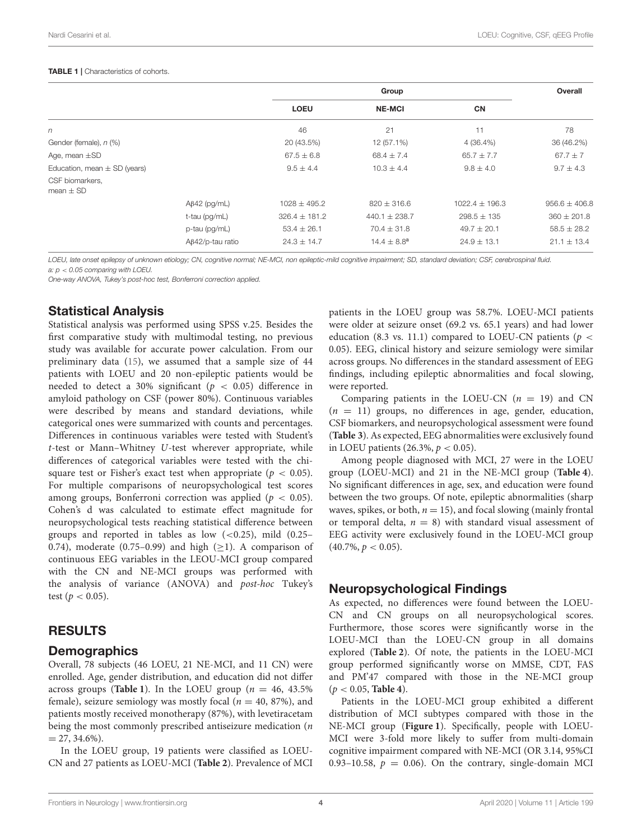#### <span id="page-3-0"></span>TABLE 1 | Characteristics of cohorts.

|                                  |                         | Group             |                   |                    | Overall           |
|----------------------------------|-------------------------|-------------------|-------------------|--------------------|-------------------|
|                                  |                         | <b>LOEU</b>       | <b>NE-MCI</b>     | <b>CN</b>          |                   |
| n                                |                         | 46                | 21                | 11                 | 78                |
| Gender (female), n (%)           |                         | 20 (43.5%)        | 12 (57.1%)        | 4 (36.4%)          | 36 (46.2%)        |
| Age, mean $\pm$ SD               |                         | $67.5 \pm 6.8$    | $68.4 \pm 7.4$    | $65.7 \pm 7.7$     | $67.7 \pm 7$      |
| Education, mean $\pm$ SD (years) |                         | $9.5 \pm 4.4$     | $10.3 \pm 4.4$    | $9.8 \pm 4.0$      | $9.7 \pm 4.3$     |
| CSF biomarkers.<br>mean $\pm$ SD |                         |                   |                   |                    |                   |
|                                  | $AB42$ (pg/mL)          | $1028 \pm 495.2$  | $820 \pm 316.6$   | $1022.4 \pm 196.3$ | $956.6 \pm 406.8$ |
|                                  | t-tau (pg/mL)           | $326.4 \pm 181.2$ | $440.1 \pm 238.7$ | $298.5 \pm 135$    | $360 \pm 201.8$   |
|                                  | p-tau (pg/mL)           | $53.4 \pm 26.1$   | $70.4 \pm 31.8$   | $49.7 \pm 20.1$    | $58.5 \pm 28.2$   |
|                                  | $A\beta42$ /p-tau ratio | $24.3 \pm 14.7$   | $14.4 \pm 8.8^a$  | $24.9 \pm 13.1$    | $21.1 \pm 13.4$   |

*LOEU, late onset epilepsy of unknown etiology; CN, cognitive normal; NE-MCI, non epileptic-mild cognitive impairment; SD, standard deviation; CSF, cerebrospinal fluid.*

*a: p* < *0.05 comparing with LOEU.*

*One-way ANOVA, Tukey's post-hoc test, Bonferroni correction applied.*

### Statistical Analysis

Statistical analysis was performed using SPSS v.25. Besides the first comparative study with multimodal testing, no previous study was available for accurate power calculation. From our preliminary data [\(15\)](#page-9-11), we assumed that a sample size of 44 patients with LOEU and 20 non-epileptic patients would be needed to detect a 30% significant ( $p < 0.05$ ) difference in amyloid pathology on CSF (power 80%). Continuous variables were described by means and standard deviations, while categorical ones were summarized with counts and percentages. Differences in continuous variables were tested with Student's t-test or Mann–Whitney U-test wherever appropriate, while differences of categorical variables were tested with the chisquare test or Fisher's exact test when appropriate ( $p < 0.05$ ). For multiple comparisons of neuropsychological test scores among groups, Bonferroni correction was applied ( $p < 0.05$ ). Cohen's d was calculated to estimate effect magnitude for neuropsychological tests reaching statistical difference between groups and reported in tables as low  $( $0.25$ ), mild  $(0.25–0.25)$$ 0.74), moderate (0.75–0.99) and high  $(\geq 1)$ . A comparison of continuous EEG variables in the LEOU-MCI group compared with the CN and NE-MCI groups was performed with the analysis of variance (ANOVA) and post-hoc Tukey's test ( $p < 0.05$ ).

### RESULTS

#### **Demographics**

Overall, 78 subjects (46 LOEU, 21 NE-MCI, and 11 CN) were enrolled. Age, gender distribution, and education did not differ across groups (**[Table 1](#page-3-0)**). In the LOEU group ( $n = 46, 43.5\%$ ) female), seizure semiology was mostly focal ( $n = 40, 87\%$ ), and patients mostly received monotherapy (87%), with levetiracetam being the most commonly prescribed antiseizure medication (n  $= 27, 34.6\%$ ).

In the LOEU group, 19 patients were classified as LOEU-CN and 27 patients as LOEU-MCI (**[Table 2](#page-4-0)**). Prevalence of MCI patients in the LOEU group was 58.7%. LOEU-MCI patients were older at seizure onset (69.2 vs. 65.1 years) and had lower education (8.3 vs. 11.1) compared to LOEU-CN patients ( $p <$ 0.05). EEG, clinical history and seizure semiology were similar across groups. No differences in the standard assessment of EEG findings, including epileptic abnormalities and focal slowing, were reported.

Comparing patients in the LOEU-CN  $(n = 19)$  and CN  $(n = 11)$  groups, no differences in age, gender, education, CSF biomarkers, and neuropsychological assessment were found (**[Table 3](#page-5-0)**). As expected, EEG abnormalities were exclusively found in LOEU patients  $(26.3\%, p < 0.05)$ .

Among people diagnosed with MCI, 27 were in the LOEU group (LOEU-MCI) and 21 in the NE-MCI group (**[Table 4](#page-5-1)**). No significant differences in age, sex, and education were found between the two groups. Of note, epileptic abnormalities (sharp waves, spikes, or both,  $n = 15$ ), and focal slowing (mainly frontal or temporal delta,  $n = 8$ ) with standard visual assessment of EEG activity were exclusively found in the LOEU-MCI group  $(40.7\%, p < 0.05)$ .

# Neuropsychological Findings

As expected, no differences were found between the LOEU-CN and CN groups on all neuropsychological scores. Furthermore, those scores were significantly worse in the LOEU-MCI than the LOEU-CN group in all domains explored (**[Table 2](#page-4-0)**). Of note, the patients in the LOEU-MCI group performed significantly worse on MMSE, CDT, FAS and PM'47 compared with those in the NE-MCI group (p < 0.05, **[Table 4](#page-5-1)**).

Patients in the LOEU-MCI group exhibited a different distribution of MCI subtypes compared with those in the NE-MCI group (**[Figure 1](#page-6-0)**). Specifically, people with LOEU-MCI were 3-fold more likely to suffer from multi-domain cognitive impairment compared with NE-MCI (OR 3.14, 95%CI 0.93–10.58,  $p = 0.06$ ). On the contrary, single-domain MCI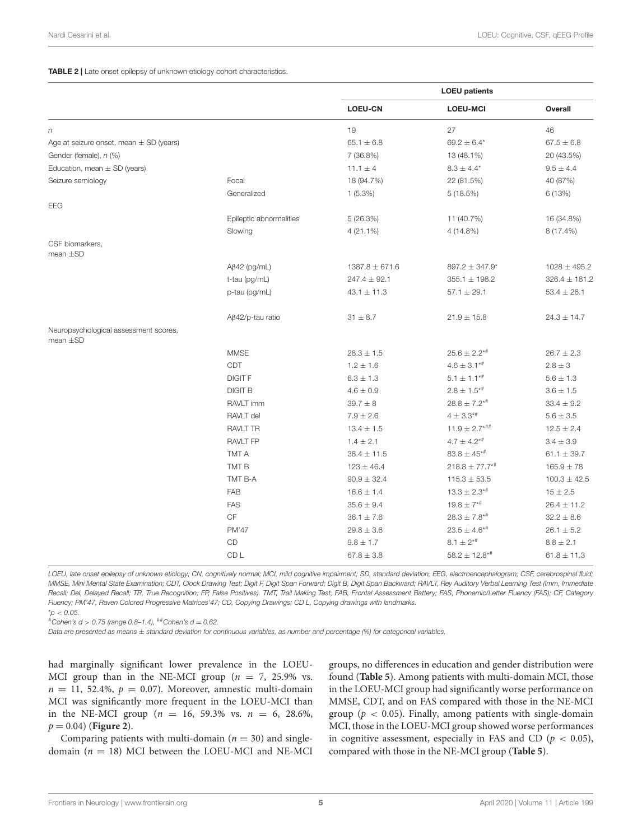#### <span id="page-4-0"></span>TABLE 2 | Late onset epilepsy of unknown etiology cohort characteristics.

|                                                        |                         | <b>LOEU</b> patients |                               |                   |  |
|--------------------------------------------------------|-------------------------|----------------------|-------------------------------|-------------------|--|
|                                                        |                         | <b>LOEU-CN</b>       | <b>LOEU-MCI</b>               | Overall           |  |
| n                                                      |                         | 19                   | 27                            | 46                |  |
| Age at seizure onset, mean $\pm$ SD (years)            |                         | $65.1 \pm 6.8$       | $69.2 \pm 6.4*$               | $67.5 \pm 6.8$    |  |
| Gender (female), n (%)                                 |                         | 7 (36.8%)            | 13 (48.1%)                    | 20 (43.5%)        |  |
| Education, mean $\pm$ SD (years)                       |                         | $11.1 \pm 4$         | $8.3 \pm 4.4*$                | $9.5 \pm 4.4$     |  |
| Seizure semiology                                      | Focal                   | 18 (94.7%)           | 22 (81.5%)                    | 40 (87%)          |  |
|                                                        | Generalized             | $1(5.3\%)$           | 5(18.5%)                      | 6 (13%)           |  |
| EEG                                                    |                         |                      |                               |                   |  |
|                                                        | Epileptic abnormalities | 5(26.3%)             | 11 (40.7%)                    | 16 (34.8%)        |  |
|                                                        | Slowing                 | 4 (21.1%)            | 4 (14.8%)                     | 8 (17.4%)         |  |
| CSF biomarkers,<br>mean $\pm$ SD                       |                         |                      |                               |                   |  |
|                                                        | $A\beta$ 42 (pg/mL)     | $1387.8 \pm 671.6$   | 897.2 ± 347.9*                | $1028 \pm 495.2$  |  |
|                                                        | t-tau (pg/mL)           | $247.4 \pm 92.1$     | $355.1 \pm 198.2$             | $326.4 \pm 181.2$ |  |
|                                                        | p-tau (pg/mL)           | $43.1 \pm 11.3$      | $57.1 \pm 29.1$               | $53.4 \pm 26.1$   |  |
|                                                        | $A\beta42$ /p-tau ratio | $31 \pm 8.7$         | $21.9 \pm 15.8$               | $24.3 \pm 14.7$   |  |
| Neuropsychological assessment scores,<br>mean $\pm$ SD |                         |                      |                               |                   |  |
|                                                        | <b>MMSE</b>             | $28.3 \pm 1.5$       | $25.6 \pm 2.2$ *#             | $26.7 \pm 2.3$    |  |
|                                                        | CDT                     | $1.2 \pm 1.6$        | $4.6 \pm 3.1**$               | $2.8 \pm 3$       |  |
|                                                        | <b>DIGIT F</b>          | $6.3 \pm 1.3$        | $5.1 \pm 1.1^{* \#}$          | $5.6 \pm 1.3$     |  |
|                                                        | <b>DIGIT B</b>          | $4.6 \pm 0.9$        | $2.8 \pm 1.5^{* \#}$          | $3.6 \pm 1.5$     |  |
|                                                        | RAVLT imm               | $39.7 \pm 8$         | $28.8 \pm 7.2$ *#             | $33.4 \pm 9.2$    |  |
|                                                        | RAVLT del               | $7.9 \pm 2.6$        | $4 \pm 3.3$ <sup>*#</sup>     | $5.6 \pm 3.5$     |  |
|                                                        | <b>RAVLT TR</b>         | $13.4 \pm 1.5$       | $11.9 \pm 2.7***$             | $12.5 \pm 2.4$    |  |
|                                                        | <b>RAVLT FP</b>         | $1.4 \pm 2.1$        | $4.7 \pm 4.2**$               | $3.4 \pm 3.9$     |  |
|                                                        | TMT A                   | $38.4 \pm 11.5$      | $83.8 \pm 45^{* \#}$          | $61.1 \pm 39.7$   |  |
|                                                        | TMT B                   | $123 \pm 46.4$       | $218.8 \pm 77.7**$            | $165.9 \pm 78$    |  |
|                                                        | TMT B-A                 | $90.9 \pm 32.4$      | $115.3 \pm 53.5$              | $100.3 \pm 42.5$  |  |
|                                                        | FAB                     | $16.6 \pm 1.4$       | $13.3 \pm 2.3$ <sup>*#</sup>  | $15 \pm 2.5$      |  |
|                                                        | <b>FAS</b>              | $35.6 \pm 9.4$       | $19.8 \pm 7**$                | $26.4 \pm 11.2$   |  |
|                                                        | <b>CF</b>               | $36.1 \pm 7.6$       | $28.3 \pm 7.8^{* \#}$         | $32.2 \pm 8.6$    |  |
|                                                        | PM'47                   | $29.8 \pm 3.6$       | $23.5 \pm 4.6^{* \#}$         | $26.1 \pm 5.2$    |  |
|                                                        | CD                      | $9.8 \pm 1.7$        | $8.1 \pm 2^{*#}$              | $8.8 \pm 2.1$     |  |
|                                                        | CD <sub>L</sub>         | $67.8 \pm 3.8$       | $58.2 \pm 12.8$ <sup>*#</sup> | $61.8 \pm 11.3$   |  |

*LOEU, late onset epilepsy of unknown etiology; CN, cognitively normal; MCI, mild cognitive impairment; SD, standard deviation; EEG, electroencephalogram; CSF, cerebrospinal fluid; MMSE, Mini Mental State Examination; CDT, Clock Drawing Test; Digit F, Digit Span Forward; Digit B, Digit Span Backward; RAVLT, Rey Auditory Verbal Learning Test (Imm, Immediate Recall; Del, Delayed Recall; TR, True Recognition; FP, False Positives). TMT, Trail Making Test; FAB, Frontal Assessment Battery; FAS, Phonemic/Letter Fluency (FAS); CF, Category Fluency; PM'47, Raven Colored Progressive Matrices'47; CD, Copying Drawings; CD L, Copying drawings with landmarks.* \**p* < *0.05.*

#*Cohen's d* > *0.75 (range 0.8–1.4),* ##*Cohen's d* = *0.62.*

*Data are presented as means* ± *standard deviation for continuous variables, as number and percentage (%) for categorical variables.*

had marginally significant lower prevalence in the LOEU-MCI group than in the NE-MCI group ( $n = 7$ , 25.9% vs.  $n = 11, 52.4\%, p = 0.07$ ). Moreover, amnestic multi-domain MCI was significantly more frequent in the LOEU-MCI than in the NE-MCI group ( $n = 16, 59.3\%$  vs.  $n = 6, 28.6\%$ ,  $p = 0.04$  (**[Figure 2](#page-6-1)**).

Comparing patients with multi-domain ( $n = 30$ ) and singledomain ( $n = 18$ ) MCI between the LOEU-MCI and NE-MCI groups, no differences in education and gender distribution were found (**[Table 5](#page-7-0)**). Among patients with multi-domain MCI, those in the LOEU-MCI group had significantly worse performance on MMSE, CDT, and on FAS compared with those in the NE-MCI group ( $p < 0.05$ ). Finally, among patients with single-domain MCI, those in the LOEU-MCI group showed worse performances in cognitive assessment, especially in FAS and CD ( $p < 0.05$ ), compared with those in the NE-MCI group (**[Table 5](#page-7-0)**).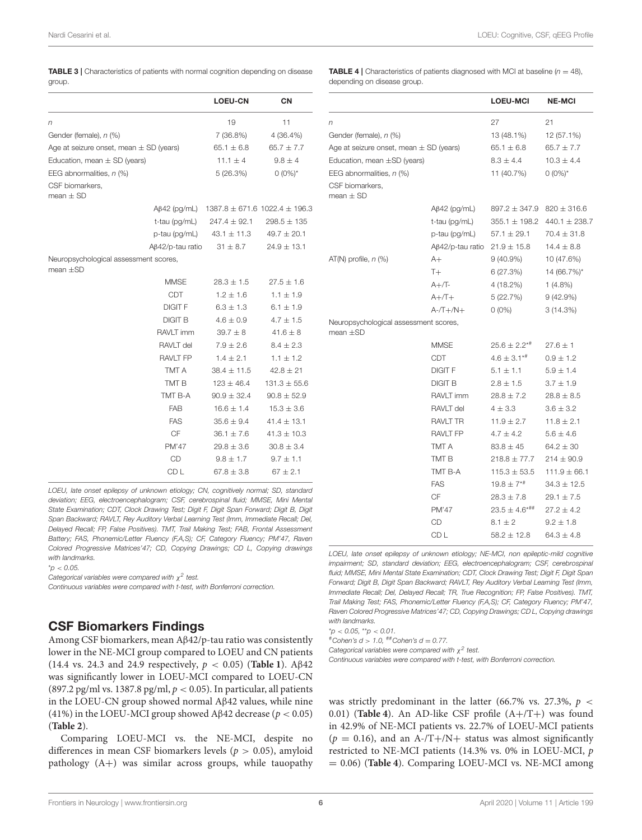<span id="page-5-0"></span>

| <b>TABLE 3</b>   Characteristics of patients with normal cognition depending on disease |  |  |  |
|-----------------------------------------------------------------------------------------|--|--|--|
| group.                                                                                  |  |  |  |

<span id="page-5-1"></span>**TABLE 4** | Characteristics of patients diagnosed with MCI at baseline  $(n = 48)$ , depending on disease group.

|                                                        |                         | <b>LOEU-CN</b>                        | CN               |
|--------------------------------------------------------|-------------------------|---------------------------------------|------------------|
| n                                                      |                         | 19                                    | 11               |
| Gender (female), n (%)                                 |                         | 7 (36.8%)                             | 4 (36.4%)        |
| Age at seizure onset, mean $\pm$ SD (years)            |                         | $65.1 \pm 6.8$                        | $65.7 \pm 7.7$   |
| Education, mean $\pm$ SD (years)                       |                         | $11.1 \pm 4$                          | $9.8 \pm 4$      |
| EEG abnormalities, n (%)                               |                         | 5(26.3%)                              | $0(0\%)^*$       |
| CSF biomarkers.<br>mean $\pm$ SD                       |                         |                                       |                  |
|                                                        | $A\beta$ 42 (pg/mL)     | $1387.8 \pm 671.6$ 1022.4 $\pm$ 196.3 |                  |
|                                                        | t-tau (pg/mL)           | $247.4 \pm 92.1$                      | $298.5 \pm 135$  |
|                                                        | p-tau (pg/mL)           | $43.1 \pm 11.3$                       | $49.7 \pm 20.1$  |
|                                                        | $A\beta$ 42/p-tau ratio | $31 \pm 8.7$                          | $24.9 \pm 13.1$  |
| Neuropsychological assessment scores,<br>mean $\pm$ SD |                         |                                       |                  |
|                                                        | <b>MMSE</b>             | $28.3 \pm 1.5$                        | $27.5 \pm 1.6$   |
|                                                        | <b>CDT</b>              | $1.2 \pm 1.6$                         | $1.1 \pm 1.9$    |
|                                                        | <b>DIGIT F</b>          | $6.3 \pm 1.3$                         | 6.1 $\pm$ 1.9    |
|                                                        | <b>DIGIT B</b>          | $4.6 \pm 0.9$                         | $4.7 \pm 1.5$    |
|                                                        | RAVLT imm               | $39.7 \pm 8$                          | $41.6 \pm 8$     |
|                                                        | RAVLT del               | $7.9 \pm 2.6$                         | $8.4 \pm 2.3$    |
|                                                        | <b>RAVLT FP</b>         | $1.4 \pm 2.1$                         | $1.1 \pm 1.2$    |
|                                                        | TMT A                   | $38.4 \pm 11.5$                       | $42.8 \pm 21$    |
|                                                        | TMT <sub>B</sub>        | $123 \pm 46.4$                        | $131.3 \pm 55.6$ |
|                                                        | TMT B-A                 | $90.9 \pm 32.4$                       | $90.8 \pm 52.9$  |
|                                                        | <b>FAB</b>              | $16.6 \pm 1.4$                        | $15.3 \pm 3.6$   |
|                                                        | <b>FAS</b>              | $35.6 \pm 9.4$                        | $41.4 \pm 13.1$  |
|                                                        | <b>CF</b>               | $36.1 \pm 7.6$                        | $41.3 \pm 10.3$  |
|                                                        | <b>PM'47</b>            | $29.8 \pm 3.6$                        | $30.8 \pm 3.4$   |
|                                                        | CD                      | $9.8 \pm 1.7$                         | $9.7 \pm 1.1$    |
|                                                        | CD <sub>L</sub>         | 67.8 $\pm$ 3.8                        | $67 \pm 2.1$     |

*LOEU, late onset epilepsy of unknown etiology; CN, cognitively normal; SD, standard deviation; EEG, electroencephalogram; CSF, cerebrospinal fluid; MMSE, Mini Mental State Examination; CDT, Clock Drawing Test; Digit F, Digit Span Forward; Digit B, Digit Span Backward; RAVLT, Rey Auditory Verbal Learning Test (Imm, Immediate Recall; Del, Delayed Recall; FP, False Positives). TMT, Trail Making Test; FAB, Frontal Assessment Battery; FAS, Phonemic/Letter Fluency (F,A,S); CF, Category Fluency; PM'47, Raven Colored Progressive Matrices'47; CD, Copying Drawings; CD L, Copying drawings with landmarks.*

\**p* < *0.05.*

*Categorical variables were compared with* χ *2 test.*

*Continuous variables were compared with t-test, with Bonferroni correction.*

### CSF Biomarkers Findings

Among CSF biomarkers, mean Aβ42/p-tau ratio was consistently lower in the NE-MCI group compared to LOEU and CN patients (14.4 vs. 24.3 and 24.9 respectively, p < 0.05) (**[Table 1](#page-3-0)**). Aβ42 was significantly lower in LOEU-MCI compared to LOEU-CN (897.2 pg/ml vs. 1387.8 pg/ml,  $p < 0.05$ ). In particular, all patients in the LOEU-CN group showed normal Aβ42 values, while nine (41%) in the LOEU-MCI group showed Aβ42 decrease ( $p < 0.05$ ) (**[Table 2](#page-4-0)**).

Comparing LOEU-MCI vs. the NE-MCI, despite no differences in mean CSF biomarkers levels ( $p > 0.05$ ), amyloid pathology  $(A+)$  was similar across groups, while tauopathy

|                                                        |                    | <b>LOEU-MCI</b>               | <b>NE-MCI</b>     |
|--------------------------------------------------------|--------------------|-------------------------------|-------------------|
| n                                                      |                    | 27                            | 21                |
| Gender (female), n (%)                                 |                    | 13 (48.1%)                    | 12 (57.1%)        |
| Age at seizure onset, mean $\pm$ SD (years)            |                    | $65.1 \pm 6.8$                | $65.7 \pm 7.7$    |
| Education, mean $\pm$ SD (years)                       |                    | $8.3 \pm 4.4$                 | $10.3 \pm 4.4$    |
| EEG abnormalities, $n$ (%)                             |                    | 11 (40.7%)                    | $0(0\%)^*$        |
| CSF biomarkers.<br>mean $\pm$ SD                       |                    |                               |                   |
|                                                        | $\beta$ 42 (pg/mL) | $897.2 \pm 347.9$             | $820 \pm 316.6$   |
|                                                        | t-tau (pg/mL)      | $355.1 \pm 198.2$             | $440.1 \pm 238.7$ |
|                                                        | p-tau (pg/mL)      | $57.1 \pm 29.1$               | $70.4 \pm 31.8$   |
|                                                        | Aβ42/p-tau ratio   | $21.9 \pm 15.8$               | $14.4 \pm 8.8$    |
| $AT(N)$ profile, $n$ (%)                               | A+                 | $9(40.9\%)$                   | 10 (47.6%)        |
|                                                        | $T+$               | 6 (27.3%)                     | 14 (66.7%)*       |
|                                                        | $A+$ /T-           | 4 (18.2%)                     | $1(4.8\%)$        |
|                                                        | $A+/T+$            | 5(22.7%)                      | 9(42.9%)          |
|                                                        | $A - T + /N +$     | $0(0\%)$                      | 3(14.3%)          |
| Neuropsychological assessment scores,<br>mean $\pm$ SD |                    |                               |                   |
|                                                        | <b>MMSE</b>        | $25.6 \pm 2.2$ * <sup>#</sup> | $27.6 \pm 1$      |
|                                                        | CDT                | $4.6 \pm 3.1***$              | $0.9 \pm 1.2$     |
|                                                        | <b>DIGIT F</b>     | $5.1 \pm 1.1$                 | $5.9 \pm 1.4$     |
|                                                        | <b>DIGIT B</b>     | $2.8 \pm 1.5$                 | $3.7 \pm 1.9$     |
|                                                        | RAVLT imm          | $28.8 \pm 7.2$                | $28.8 \pm 8.5$    |
|                                                        | RAVLT del          | $4 \pm 3.3$                   | $3.6 \pm 3.2$     |
|                                                        | <b>RAVLT TR</b>    | $11.9 \pm 2.7$                | $11.8 \pm 2.1$    |
|                                                        | <b>RAVLT FP</b>    | $4.7 \pm 4.2$                 | $5.6 \pm 4.6$     |
|                                                        | TMT A              | $83.8 \pm 45$                 | $64.2 \pm 30$     |
|                                                        | TMT B              | $218.8 \pm 77.7$              | $214 \pm 90.9$    |
|                                                        | TMT B-A            | $115.3 \pm 53.5$              | $111.9 + 66.1$    |
|                                                        | <b>FAS</b>         | $19.8 \pm 7**$                | $34.3 \pm 12.5$   |
|                                                        | CF                 | $28.3 \pm 7.8$                | $29.1 \pm 7.5$    |
|                                                        | PM'47              | $23.5 \pm 4.6$ *##            | $27.2 \pm 4.2$    |
|                                                        | CD                 | $8.1 \pm 2$                   | $9.2 \pm 1.8$     |
|                                                        | CD L               | $58.2 \pm 12.8$               | $64.3 \pm 4.8$    |

*LOEU, late onset epilepsy of unknown etiology; NE-MCI, non epileptic-mild cognitive impairment; SD, standard deviation; EEG, electroencephalogram; CSF, cerebrospinal fluid; MMSE, Mini Mental State Examination; CDT, Clock Drawing Test; Digit F, Digit Span Forward; Digit B, Digit Span Backward; RAVLT, Rey Auditory Verbal Learning Test (Imm, Immediate Recall; Del, Delayed Recall; TR, True Recognition; FP, False Positives). TMT, Trail Making Test; FAS, Phonemic/Letter Fluency (F,A,S); CF, Category Fluency; PM'47, Raven Colored Progressive Matrices'47; CD, Copying Drawings; CD L, Copying drawings with landmarks.*

\**p* < *0.05,* \*\**p* < *0.01.*

#*Cohen's d* > *1.0,* ##*Cohen's d* = *0.77.*

*Categorical variables were compared with* χ *2 test.*

*Continuous variables were compared with t-test, with Bonferroni correction.*

was strictly predominant in the latter (66.7% vs. 27.3%,  $p \ll$ 0.01) (**[Table 4](#page-5-1)**). An AD-like CSF profile (A+/T+) was found in 42.9% of NE-MCI patients vs. 22.7% of LOEU-MCI patients  $(p = 0.16)$ , and an A-/T+/N+ status was almost significantly restricted to NE-MCI patients (14.3% vs. 0% in LOEU-MCI, p = 0.06) (**[Table 4](#page-5-1)**). Comparing LOEU-MCI vs. NE-MCI among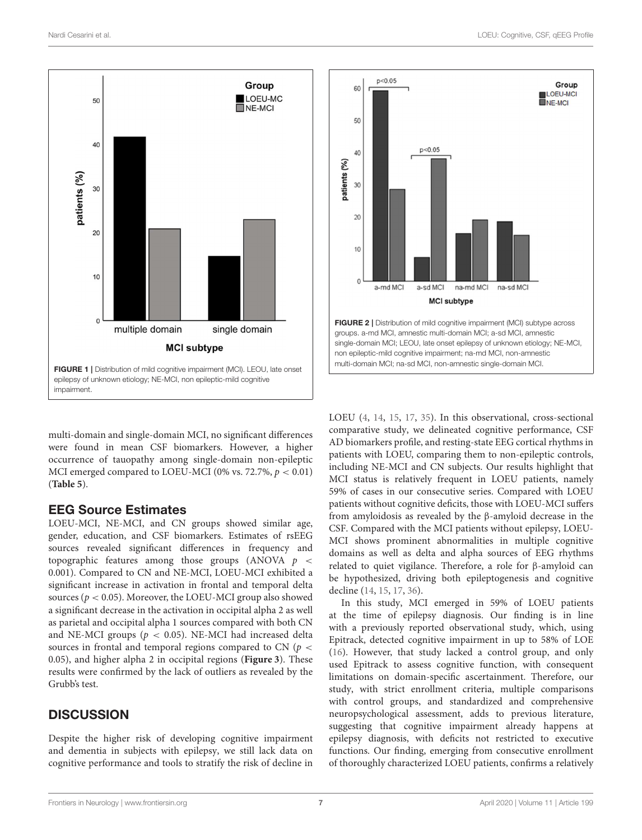



<span id="page-6-0"></span>multi-domain and single-domain MCI, no significant differences were found in mean CSF biomarkers. However, a higher occurrence of tauopathy among single-domain non-epileptic MCI emerged compared to LOEU-MCI (0% vs. 72.7%,  $p < 0.01$ ) (**[Table 5](#page-7-0)**).

### EEG Source Estimates

LOEU-MCI, NE-MCI, and CN groups showed similar age, gender, education, and CSF biomarkers. Estimates of rsEEG sources revealed significant differences in frequency and topographic features among those groups (ANOVA  $p \le$ 0.001). Compared to CN and NE-MCI, LOEU-MCI exhibited a significant increase in activation in frontal and temporal delta sources ( $p < 0.05$ ). Moreover, the LOEU-MCI group also showed a significant decrease in the activation in occipital alpha 2 as well as parietal and occipital alpha 1 sources compared with both CN and NE-MCI groups ( $p < 0.05$ ). NE-MCI had increased delta sources in frontal and temporal regions compared to CN ( $p <$ 0.05), and higher alpha 2 in occipital regions (**[Figure 3](#page-8-0)**). These results were confirmed by the lack of outliers as revealed by the Grubb's test.

# **DISCUSSION**

Despite the higher risk of developing cognitive impairment and dementia in subjects with epilepsy, we still lack data on cognitive performance and tools to stratify the risk of decline in



<span id="page-6-1"></span>LOEU [\(4,](#page-9-3) [14,](#page-9-9) [15,](#page-9-11) [17,](#page-9-12) [35\)](#page-10-2). In this observational, cross-sectional comparative study, we delineated cognitive performance, CSF AD biomarkers profile, and resting-state EEG cortical rhythms in patients with LOEU, comparing them to non-epileptic controls, including NE-MCI and CN subjects. Our results highlight that MCI status is relatively frequent in LOEU patients, namely 59% of cases in our consecutive series. Compared with LOEU patients without cognitive deficits, those with LOEU-MCI suffers from amyloidosis as revealed by the β-amyloid decrease in the CSF. Compared with the MCI patients without epilepsy, LOEU-MCI shows prominent abnormalities in multiple cognitive domains as well as delta and alpha sources of EEG rhythms related to quiet vigilance. Therefore, a role for β-amyloid can be hypothesized, driving both epileptogenesis and cognitive decline [\(14,](#page-9-9) [15,](#page-9-11) [17,](#page-9-12) [36\)](#page-10-3).

In this study, MCI emerged in 59% of LOEU patients at the time of epilepsy diagnosis. Our finding is in line with a previously reported observational study, which, using Epitrack, detected cognitive impairment in up to 58% of LOE [\(16\)](#page-9-10). However, that study lacked a control group, and only used Epitrack to assess cognitive function, with consequent limitations on domain-specific ascertainment. Therefore, our study, with strict enrollment criteria, multiple comparisons with control groups, and standardized and comprehensive neuropsychological assessment, adds to previous literature, suggesting that cognitive impairment already happens at epilepsy diagnosis, with deficits not restricted to executive functions. Our finding, emerging from consecutive enrollment of thoroughly characterized LOEU patients, confirms a relatively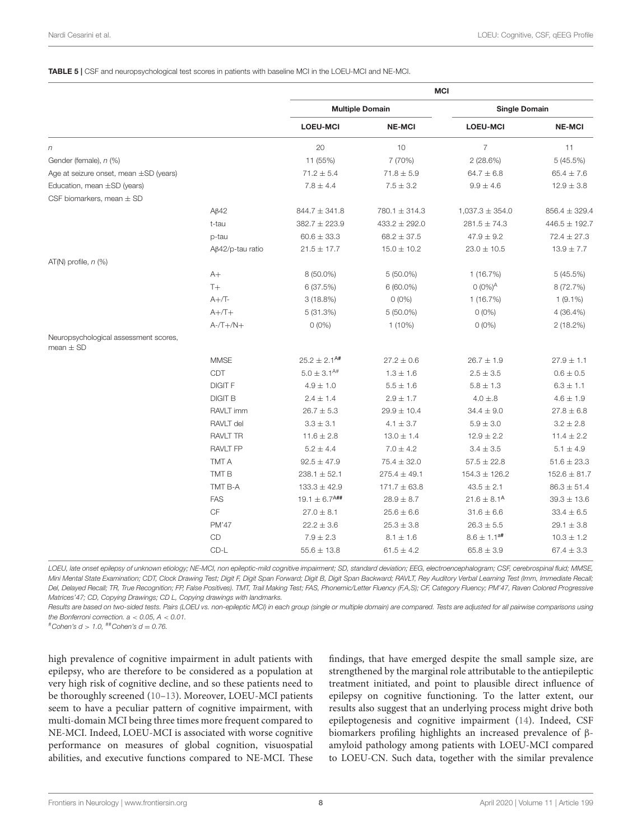#### <span id="page-7-0"></span>TABLE 5 | CSF and neuropsychological test scores in patients with baseline MCI in the LOEU-MCI and NE-MCI.

|                                                        |                         | <b>MCI</b>                    |                   |                      |                   |
|--------------------------------------------------------|-------------------------|-------------------------------|-------------------|----------------------|-------------------|
|                                                        |                         | <b>Multiple Domain</b>        |                   | <b>Single Domain</b> |                   |
|                                                        |                         | <b>LOEU-MCI</b>               | <b>NE-MCI</b>     | <b>LOEU-MCI</b>      | <b>NE-MCI</b>     |
| n                                                      |                         | 20                            | 10                | $\overline{7}$       | 11                |
| Gender (female), n (%)                                 |                         | 11 (55%)                      | 7 (70%)           | 2(28.6%)             | 5 (45.5%)         |
| Age at seizure onset, mean ±SD (years)                 |                         | $71.2 \pm 5.4$                | $71.8 \pm 5.9$    | $64.7 \pm 6.8$       | $65.4 \pm 7.6$    |
| Education, mean ±SD (years)                            |                         | $7.8 \pm 4.4$                 | $7.5 \pm 3.2$     | $9.9 \pm 4.6$        | $12.9 \pm 3.8$    |
| CSF biomarkers, mean $\pm$ SD                          |                         |                               |                   |                      |                   |
|                                                        | $A\beta$ 42             | $844.7 \pm 341.8$             | $780.1 \pm 314.3$ | $1,037.3 \pm 354.0$  | $856.4 \pm 329.4$ |
|                                                        | t-tau                   | $382.7 \pm 223.9$             | $433.2 \pm 292.0$ | $281.5 \pm 74.3$     | 446.5 ± 192.7     |
|                                                        | p-tau                   | $60.6 \pm 33.3$               | $68.2 \pm 37.5$   | $47.9 \pm 9.2$       | $72.4 \pm 27.3$   |
|                                                        | $A\beta42$ /p-tau ratio | $21.5 \pm 17.7$               | $15.0 \pm 10.2$   | $23.0 \pm 10.5$      | $13.9 \pm 7.7$    |
| AT(N) profile, $n$ (%)                                 |                         |                               |                   |                      |                   |
|                                                        | $A+$                    | 8 (50.0%)                     | $5(50.0\%)$       | 1(16.7%)             | 5 (45.5%)         |
|                                                        | $T+$                    | 6(37.5%)                      | $6(60.0\%)$       | $0 (0\%)^A$          | 8 (72.7%)         |
|                                                        | $A+$ /T-                | 3(18.8%)                      | $O(0\%)$          | 1 (16.7%)            | $1(9.1\%)$        |
|                                                        | $A+/T+$                 | 5(31.3%)                      | $5(50.0\%)$       | $0(0\%)$             | 4 (36.4%)         |
|                                                        | $A - T + /N +$          | $0(0\%)$                      | $1(10\%)$         | $0(0\%)$             | 2 (18.2%)         |
| Neuropsychological assessment scores,<br>mean $\pm$ SD |                         |                               |                   |                      |                   |
|                                                        | <b>MMSE</b>             | $25.2 \pm 2.1^{A#}$           | $27.2 \pm 0.6$    | $26.7 \pm 1.9$       | $27.9 \pm 1.1$    |
|                                                        | CDT                     | $5.0 \pm 3.1^{A#}$            | $1.3 \pm 1.6$     | $2.5 \pm 3.5$        | $0.6 \pm 0.5$     |
|                                                        | <b>DIGIT F</b>          | $4.9 \pm 1.0$                 | $5.5 \pm 1.6$     | $5.8 \pm 1.3$        | $6.3 \pm 1.1$     |
|                                                        | <b>DIGIT B</b>          | $2.4 \pm 1.4$                 | $2.9 \pm 1.7$     | $4.0 \pm .8$         | $4.6 \pm 1.9$     |
|                                                        | RAVLT imm               | $26.7 \pm 5.3$                | $29.9 \pm 10.4$   | $34.4 \pm 9.0$       | $27.8 \pm 6.8$    |
|                                                        | RAVLT del               | $3.3 \pm 3.1$                 | $4.1 \pm 3.7$     | $5.9 \pm 3.0$        | $3.2 \pm 2.8$     |
|                                                        | <b>RAVLT TR</b>         | $11.6 \pm 2.8$                | $13.0 \pm 1.4$    | $12.9 \pm 2.2$       | $11.4 \pm 2.2$    |
|                                                        | <b>RAVLT FP</b>         | $5.2 \pm 4.4$                 | $7.0 \pm 4.2$     | $3.4 \pm 3.5$        | $5.1 \pm 4.9$     |
|                                                        | TMT A                   | $92.5 \pm 47.9$               | $75.4 \pm 32.0$   | $57.5 \pm 22.8$      | $51.6 \pm 23.3$   |
|                                                        | TMT <sub>B</sub>        | $238.1 \pm 52.1$              | $275.4 \pm 49.1$  | $154.3 \pm 126.2$    | $152.6 \pm 81.7$  |
|                                                        | TMT B-A                 | $133.3 \pm 42.9$              | $171.7 \pm 63.8$  | $43.5 \pm 2.1$       | $86.3 \pm 51.4$   |
|                                                        | <b>FAS</b>              | $19.1 \pm 6.7$ <sup>A##</sup> | $28.9 \pm 8.7$    | $21.6 \pm 8.1^{A}$   | $39.3 \pm 13.6$   |
|                                                        | CF                      | $27.0 \pm 8.1$                | $25.6 \pm 6.6$    | $31.6 \pm 6.6$       | $33.4 \pm 6.5$    |
|                                                        | PM'47                   | $22.2 \pm 3.6$                | $25.3 \pm 3.8$    | $26.3 \pm 5.5$       | $29.1 \pm 3.8$    |
|                                                        | CD                      | $7.9 \pm 2.3$                 | $8.1 \pm 1.6$     | $8.6 \pm 1.1^{a\#}$  | $10.3 \pm 1.2$    |
|                                                        | CD-L                    | $55.6 \pm 13.8$               | $61.5 \pm 4.2$    | $65.8 \pm 3.9$       | $67.4 \pm 3.3$    |
|                                                        |                         |                               |                   |                      |                   |

*LOEU, late onset epilepsy of unknown etiology; NE-MCI, non epileptic-mild cognitive impairment; SD, standard deviation; EEG, electroencephalogram; CSF, cerebrospinal fluid; MMSE, Mini Mental State Examination; CDT, Clock Drawing Test; Digit F, Digit Span Forward; Digit B, Digit Span Backward; RAVLT, Rey Auditory Verbal Learning Test (Imm, Immediate Recall; Del, Delayed Recall; TR, True Recognition; FP, False Positives). TMT, Trail Making Test; FAS, Phonemic/Letter Fluency (F,A,S); CF, Category Fluency; PM'47, Raven Colored Progressive Matrices'47; CD, Copying Drawings; CD L, Copying drawings with landmarks.*

*Results are based on two-sided tests. Pairs (LOEU vs. non-epileptic MCI) in each group (single or multiple domain) are compared. Tests are adjusted for all pairwise comparisons using the Bonferroni correction. a* < *0.05, A* < *0.01.*

#*Cohen's d* > *1.0,* ##*Cohen's d* = *0.76.*

high prevalence of cognitive impairment in adult patients with epilepsy, who are therefore to be considered as a population at very high risk of cognitive decline, and so these patients need to be thoroughly screened [\(10–](#page-9-7)[13\)](#page-9-8). Moreover, LOEU-MCI patients seem to have a peculiar pattern of cognitive impairment, with multi-domain MCI being three times more frequent compared to NE-MCI. Indeed, LOEU-MCI is associated with worse cognitive performance on measures of global cognition, visuospatial abilities, and executive functions compared to NE-MCI. These findings, that have emerged despite the small sample size, are strengthened by the marginal role attributable to the antiepileptic treatment initiated, and point to plausible direct influence of epilepsy on cognitive functioning. To the latter extent, our results also suggest that an underlying process might drive both epileptogenesis and cognitive impairment [\(14\)](#page-9-9). Indeed, CSF biomarkers profiling highlights an increased prevalence of βamyloid pathology among patients with LOEU-MCI compared to LOEU-CN. Such data, together with the similar prevalence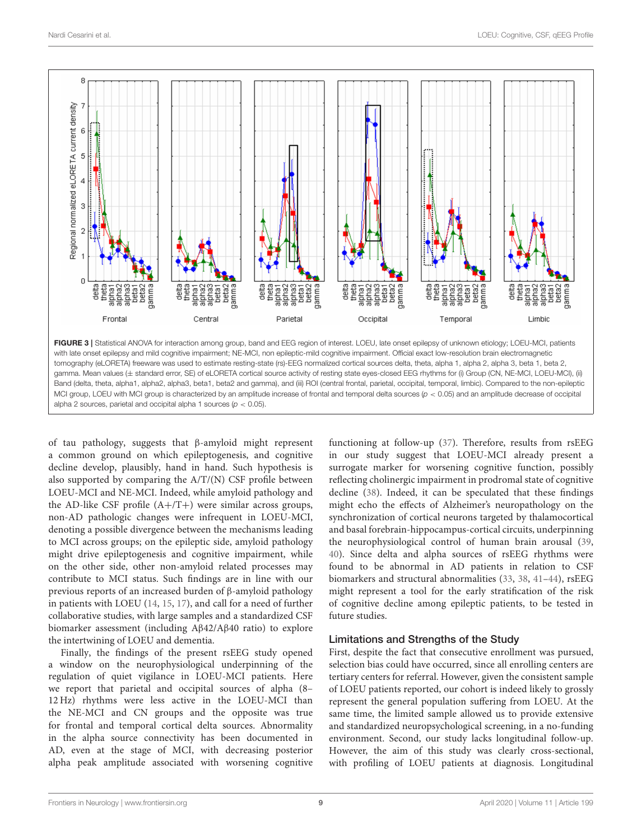

<span id="page-8-0"></span>with late onset epilepsy and mild cognitive impairment; NE-MCI, non epileptic-mild cognitive impairment. Official exact low-resolution brain electromagnetic tomography (eLORETA) freeware was used to estimate resting-state (rs)-EEG normalized cortical sources delta, theta, alpha 1, alpha 2, alpha 3, beta 1, beta 2, gamma. Mean values (± standard error, SE) of eLORETA cortical source activity of resting state eyes-closed EEG rhythms for (i) Group (CN, NE-MCI, LOEU-MCI), (ii) Band (delta, theta, alpha1, alpha2, alpha3, beta1, beta2 and gamma), and (iii) ROI (central frontal, parietal, occipital, temporal, limbic). Compared to the non-epileptic MCI group, LOEU with MCI group is characterized by an amplitude increase of frontal and temporal delta sources (*p* < 0.05) and an amplitude decrease of occipital alpha 2 sources, parietal and occipital alpha 1 sources (*p* < 0.05).

of tau pathology, suggests that β-amyloid might represent a common ground on which epileptogenesis, and cognitive decline develop, plausibly, hand in hand. Such hypothesis is also supported by comparing the A/T/(N) CSF profile between LOEU-MCI and NE-MCI. Indeed, while amyloid pathology and the AD-like CSF profile  $(A+/T+)$  were similar across groups, non-AD pathologic changes were infrequent in LOEU-MCI, denoting a possible divergence between the mechanisms leading to MCI across groups; on the epileptic side, amyloid pathology might drive epileptogenesis and cognitive impairment, while on the other side, other non-amyloid related processes may contribute to MCI status. Such findings are in line with our previous reports of an increased burden of β-amyloid pathology in patients with LOEU [\(14,](#page-9-9) [15,](#page-9-11) [17\)](#page-9-12), and call for a need of further collaborative studies, with large samples and a standardized CSF biomarker assessment (including Aβ42/Aβ40 ratio) to explore the intertwining of LOEU and dementia.

Finally, the findings of the present rsEEG study opened a window on the neurophysiological underpinning of the regulation of quiet vigilance in LOEU-MCI patients. Here we report that parietal and occipital sources of alpha (8– 12 Hz) rhythms were less active in the LOEU-MCI than the NE-MCI and CN groups and the opposite was true for frontal and temporal cortical delta sources. Abnormality in the alpha source connectivity has been documented in AD, even at the stage of MCI, with decreasing posterior alpha peak amplitude associated with worsening cognitive

functioning at follow-up [\(37\)](#page-10-4). Therefore, results from rsEEG in our study suggest that LOEU-MCI already present a surrogate marker for worsening cognitive function, possibly reflecting cholinergic impairment in prodromal state of cognitive decline [\(38\)](#page-10-5). Indeed, it can be speculated that these findings might echo the effects of Alzheimer's neuropathology on the synchronization of cortical neurons targeted by thalamocortical and basal forebrain-hippocampus-cortical circuits, underpinning the neurophysiological control of human brain arousal [\(39,](#page-10-6) [40\)](#page-10-7). Since delta and alpha sources of rsEEG rhythms were found to be abnormal in AD patients in relation to CSF biomarkers and structural abnormalities [\(33,](#page-10-8) [38,](#page-10-5) [41–](#page-10-9)[44\)](#page-10-10), rsEEG might represent a tool for the early stratification of the risk of cognitive decline among epileptic patients, to be tested in future studies.

### Limitations and Strengths of the Study

First, despite the fact that consecutive enrollment was pursued, selection bias could have occurred, since all enrolling centers are tertiary centers for referral. However, given the consistent sample of LOEU patients reported, our cohort is indeed likely to grossly represent the general population suffering from LOEU. At the same time, the limited sample allowed us to provide extensive and standardized neuropsychological screening, in a no-funding environment. Second, our study lacks longitudinal follow-up. However, the aim of this study was clearly cross-sectional, with profiling of LOEU patients at diagnosis. Longitudinal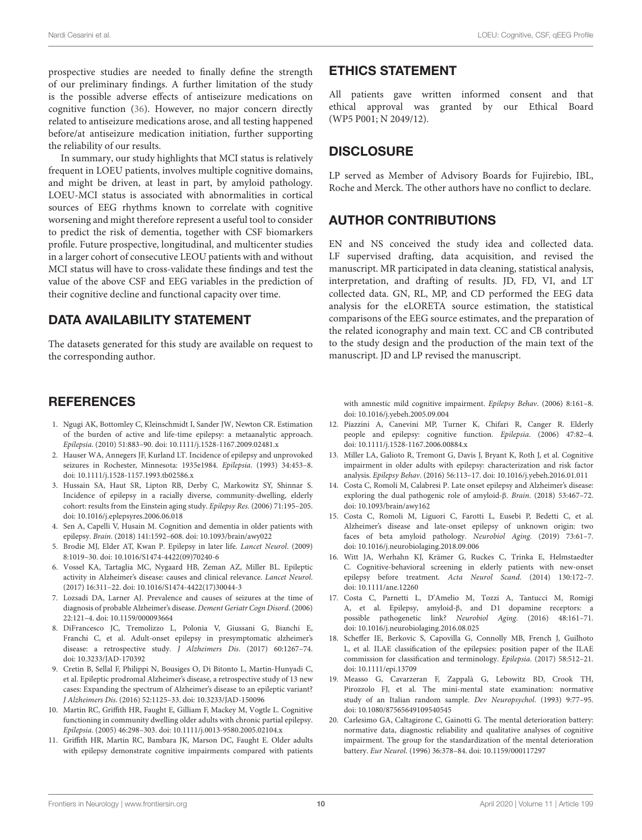prospective studies are needed to finally define the strength of our preliminary findings. A further limitation of the study is the possible adverse effects of antiseizure medications on cognitive function [\(36\)](#page-10-3). However, no major concern directly related to antiseizure medications arose, and all testing happened before/at antiseizure medication initiation, further supporting the reliability of our results.

In summary, our study highlights that MCI status is relatively frequent in LOEU patients, involves multiple cognitive domains, and might be driven, at least in part, by amyloid pathology. LOEU-MCI status is associated with abnormalities in cortical sources of EEG rhythms known to correlate with cognitive worsening and might therefore represent a useful tool to consider to predict the risk of dementia, together with CSF biomarkers profile. Future prospective, longitudinal, and multicenter studies in a larger cohort of consecutive LEOU patients with and without MCI status will have to cross-validate these findings and test the value of the above CSF and EEG variables in the prediction of their cognitive decline and functional capacity over time.

# DATA AVAILABILITY STATEMENT

The datasets generated for this study are available on request to the corresponding author.

# **REFERENCES**

- <span id="page-9-0"></span>1. Ngugi AK, Bottomley C, Kleinschmidt I, Sander JW, Newton CR. Estimation of the burden of active and life-time epilepsy: a metaanalytic approach. Epilepsia. (2010) 51:883–90. doi: [10.1111/j.1528-1167.2009.02481.x](https://doi.org/10.1111/j.1528-1167.2009.02481.x)
- <span id="page-9-1"></span>2. Hauser WA, Annegers JF, Kurland LT. Incidence of epilepsy and unprovoked seizures in Rochester, Minnesota: 1935e1984. Epilepsia. (1993) 34:453–8. doi: [10.1111/j.1528-1157.1993.tb02586.x](https://doi.org/10.1111/j.1528-1157.1993.tb02586.x)
- <span id="page-9-2"></span>3. Hussain SA, Haut SR, Lipton RB, Derby C, Markowitz SY, Shinnar S. Incidence of epilepsy in a racially diverse, community-dwelling, elderly cohort: results from the Einstein aging study. Epilepsy Res. (2006) 71:195–205. doi: [10.1016/j.eplepsyres.2006.06.018](https://doi.org/10.1016/j.eplepsyres.2006.06.018)
- <span id="page-9-3"></span>4. Sen A, Capelli V, Husain M. Cognition and dementia in older patients with epilepsy. Brain. (2018) 141:1592–608. doi: [10.1093/brain/awy022](https://doi.org/10.1093/brain/awy022)
- <span id="page-9-4"></span>5. Brodie MJ, Elder AT, Kwan P. Epilepsy in later life. Lancet Neurol. (2009) 8:1019–30. doi: [10.1016/S1474-4422\(09\)70240-6](https://doi.org/10.1016/S1474-4422(09)70240-6)
- <span id="page-9-5"></span>6. Vossel KA, Tartaglia MC, Nygaard HB, Zeman AZ, Miller BL. Epileptic activity in Alzheimer's disease: causes and clinical relevance. Lancet Neurol. (2017) 16:311–22. doi: [10.1016/S1474-4422\(17\)30044-3](https://doi.org/10.1016/S1474-4422(17)30044-3)
- 7. Lozsadi DA, Larner AJ. Prevalence and causes of seizures at the time of diagnosis of probable Alzheimer's disease. Dement Geriatr Cogn Disord. (2006) 22:121–4. doi: [10.1159/000093664](https://doi.org/10.1159/000093664)
- 8. DiFrancesco JC, Tremolizzo L, Polonia V, Giussani G, Bianchi E, Franchi C, et al. Adult-onset epilepsy in presymptomatic alzheimer's disease: a retrospective study. J Alzheimers Dis. (2017) 60:1267–74. doi: [10.3233/JAD-170392](https://doi.org/10.3233/JAD-170392)
- <span id="page-9-6"></span>9. Cretin B, Sellal F, Philippi N, Bousiges O, Di Bitonto L, Martin-Hunyadi C, et al. Epileptic prodromal Alzheimer's disease, a retrospective study of 13 new cases: Expanding the spectrum of Alzheimer's disease to an epileptic variant? J Alzheimers Dis. (2016) 52:1125–33. doi: [10.3233/JAD-150096](https://doi.org/10.3233/JAD-150096)
- <span id="page-9-7"></span>10. Martin RC, Griffith HR, Faught E, Gilliam F, Mackey M, Vogtle L. Cognitive functioning in community dwelling older adults with chronic partial epilepsy. Epilepsia. (2005) 46:298–303. doi: [10.1111/j.0013-9580.2005.02104.x](https://doi.org/10.1111/j.0013-9580.2005.02104.x)
- 11. Griffith HR, Martin RC, Bambara JK, Marson DC, Faught E. Older adults with epilepsy demonstrate cognitive impairments compared with patients

# ETHICS STATEMENT

All patients gave written informed consent and that ethical approval was granted by our Ethical Board (WP5 P001; N 2049/12).

# **DISCLOSURE**

LP served as Member of Advisory Boards for Fujirebio, IBL, Roche and Merck. The other authors have no conflict to declare.

# AUTHOR CONTRIBUTIONS

EN and NS conceived the study idea and collected data. LF supervised drafting, data acquisition, and revised the manuscript. MR participated in data cleaning, statistical analysis, interpretation, and drafting of results. JD, FD, VI, and LT collected data. GN, RL, MP, and CD performed the EEG data analysis for the eLORETA source estimation, the statistical comparisons of the EEG source estimates, and the preparation of the related iconography and main text. CC and CB contributed to the study design and the production of the main text of the manuscript. JD and LP revised the manuscript.

with amnestic mild cognitive impairment. Epilepsy Behav. (2006) 8:161–8. doi: [10.1016/j.yebeh.2005.09.004](https://doi.org/10.1016/j.yebeh.2005.09.004)

- 12. Piazzini A, Canevini MP, Turner K, Chifari R, Canger R. Elderly people and epilepsy: cognitive function. Epilepsia. (2006) 47:82–4. doi: [10.1111/j.1528-1167.2006.00884.x](https://doi.org/10.1111/j.1528-1167.2006.00884.x)
- <span id="page-9-8"></span>13. Miller LA, Galioto R, Tremont G, Davis J, Bryant K, Roth J, et al. Cognitive impairment in older adults with epilepsy: characterization and risk factor analysis. Epilepsy Behav. (2016) 56:113–17. doi: [10.1016/j.yebeh.2016.01.011](https://doi.org/10.1016/j.yebeh.2016.01.011)
- <span id="page-9-9"></span>14. Costa C, Romoli M, Calabresi P. Late onset epilepsy and Alzheimer's disease: exploring the dual pathogenic role of amyloid-β. Brain. (2018) 53:467–72. doi: [10.1093/brain/awy162](https://doi.org/10.1093/brain/awy162)
- <span id="page-9-11"></span>15. Costa C, Romoli M, Liguori C, Farotti L, Eusebi P, Bedetti C, et al. Alzheimer's disease and late-onset epilepsy of unknown origin: two faces of beta amyloid pathology. Neurobiol Aging. (2019) 73:61–7. doi: [10.1016/j.neurobiolaging.2018.09.006](https://doi.org/10.1016/j.neurobiolaging.2018.09.006)
- <span id="page-9-10"></span>16. Witt JA, Werhahn KJ, Krämer G, Ruckes C, Trinka E, Helmstaedter C. Cognitive-behavioral screening in elderly patients with new-onset epilepsy before treatment. Acta Neurol Scand. (2014) 130:172–7. doi: [10.1111/ane.12260](https://doi.org/10.1111/ane.12260)
- <span id="page-9-12"></span>17. Costa C, Parnetti L, D'Amelio M, Tozzi A, Tantucci M, Romigi A, et al. Epilepsy, amyloid-β, and D1 dopamine receptors: a possible pathogenetic link? Neurobiol Aging. (2016) 48:161–71. doi: [10.1016/j.neurobiolaging.2016.08.025](https://doi.org/10.1016/j.neurobiolaging.2016.08.025)
- <span id="page-9-13"></span>18. Scheffer IE, Berkovic S, Capovilla G, Connolly MB, French J, Guilhoto L, et al. ILAE classification of the epilepsies: position paper of the ILAE commission for classification and terminology. Epilepsia. (2017) 58:512–21. doi: [10.1111/epi.13709](https://doi.org/10.1111/epi.13709)
- <span id="page-9-14"></span>19. Measso G, Cavarzeran F, Zappalà G, Lebowitz BD, Crook TH, Pirozzolo FJ, et al. The mini-mental state examination: normative study of an Italian random sample. Dev Neuropsychol. (1993) 9:77–95. doi: [10.1080/87565649109540545](https://doi.org/10.1080/87565649109540545)
- <span id="page-9-15"></span>20. Carlesimo GA, Caltagirone C, Gainotti G. The mental deterioration battery: normative data, diagnostic reliability and qualitative analyses of cognitive impairment. The group for the standardization of the mental deterioration battery. Eur Neurol. (1996) 36:378–84. doi: [10.1159/000117297](https://doi.org/10.1159/000117297)